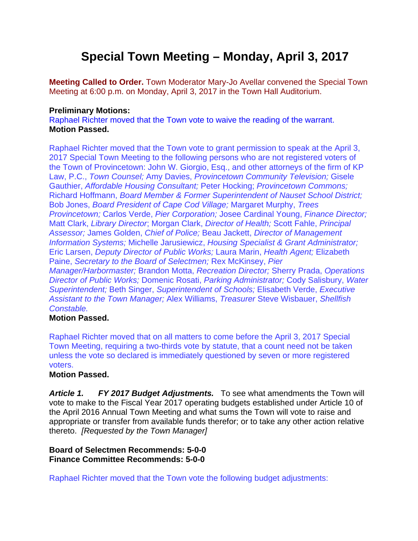# **Special Town Meeting – Monday, April 3, 2017**

**Meeting Called to Order.** Town Moderator Mary-Jo Avellar convened the Special Town Meeting at 6:00 p.m. on Monday, April 3, 2017 in the Town Hall Auditorium.

## **Preliminary Motions:**

Raphael Richter moved that the Town vote to waive the reading of the warrant. **Motion Passed.** 

Raphael Richter moved that the Town vote to grant permission to speak at the April 3, 2017 Special Town Meeting to the following persons who are not registered voters of the Town of Provincetown: John W. Giorgio, Esq., and other attorneys of the firm of KP Law, P.C., *Town Counsel;* Amy Davies, *Provincetown Community Television;* Gisele Gauthier, *Affordable Housing Consultant;* Peter Hocking; *Provincetown Commons;* Richard Hoffmann, *Board Member & Former Superintendent of Nauset School District;* Bob Jones, *Board President of Cape Cod Village;* Margaret Murphy, *Trees Provincetown;* Carlos Verde, *Pier Corporation;* Josee Cardinal Young, *Finance Director;* Matt Clark, *Library Director*; Morgan Clark, *Director of Health;* Scott Fahle, *Principal Assessor;* James Golden, *Chief of Police;* Beau Jackett, *Director of Management Information Systems;* Michelle Jarusiewicz, *Housing Specialist & Grant Administrator;* Eric Larsen, *Deputy Director of Public Works;* Laura Marin, *Health Agent;* Elizabeth Paine, *Secretary to the Board of Selectmen;* Rex McKinsey, *Pier Manager/Harbormaster;* Brandon Motta, *Recreation Director;* Sherry Prada, *Operations Director of Public Works;* Domenic Rosati, *Parking Administrator;* Cody Salisbury, *Water Superintendent;* Beth Singer, *Superintendent of Schools;* Elisabeth Verde, *Executive Assistant to the Town Manager;* Alex Williams, *Treasurer* Steve Wisbauer, *Shellfish Constable.*

## **Motion Passed.**

Raphael Richter moved that on all matters to come before the April 3, 2017 Special Town Meeting, requiring a two-thirds vote by statute, that a count need not be taken unless the vote so declared is immediately questioned by seven or more registered voters.

## **Motion Passed.**

Article 1. FY 2017 Budget Adjustments. To see what amendments the Town will vote to make to the Fiscal Year 2017 operating budgets established under Article 10 of the April 2016 Annual Town Meeting and what sums the Town will vote to raise and appropriate or transfer from available funds therefor; or to take any other action relative thereto. *[Requested by the Town Manager]* 

**Board of Selectmen Recommends: 5-0-0 Finance Committee Recommends: 5-0-0** 

Raphael Richter moved that the Town vote the following budget adjustments: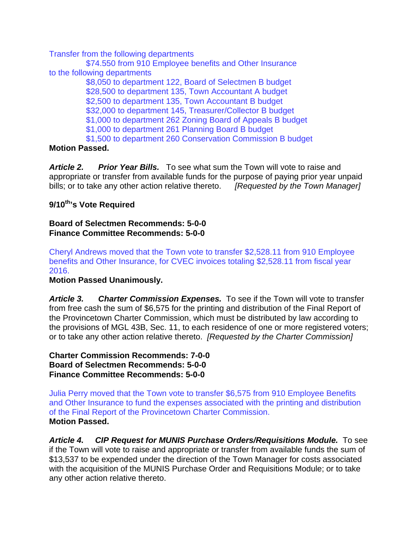Transfer from the following departments

\$74.550 from 910 Employee benefits and Other Insurance to the following departments \$8,050 to department 122, Board of Selectmen B budget \$28,500 to department 135, Town Accountant A budget \$2,500 to department 135, Town Accountant B budget \$32,000 to department 145, Treasurer/Collector B budget \$1,000 to department 262 Zoning Board of Appeals B budget \$1,000 to department 261 Planning Board B budget \$1,500 to department 260 Conservation Commission B budget

# **Motion Passed.**

*Article 2. Prior Year Bills.* To see what sum the Town will vote to raise and appropriate or transfer from available funds for the purpose of paying prior year unpaid bills; or to take any other action relative thereto. *[Requested by the Town Manager]* 

# **9/10th's Vote Required**

### **Board of Selectmen Recommends: 5-0-0 Finance Committee Recommends: 5-0-0**

Cheryl Andrews moved that the Town vote to transfer \$2,528.11 from 910 Employee benefits and Other Insurance, for CVEC invoices totaling \$2,528.11 from fiscal year 2016.

## **Motion Passed Unanimously.**

*Article 3. Charter Commission Expenses.* To see if the Town will vote to transfer from free cash the sum of \$6,575 for the printing and distribution of the Final Report of the Provincetown Charter Commission, which must be distributed by law according to the provisions of MGL 43B, Sec. 11, to each residence of one or more registered voters; or to take any other action relative thereto. *[Requested by the Charter Commission]* 

**Charter Commission Recommends: 7-0-0 Board of Selectmen Recommends: 5-0-0 Finance Committee Recommends: 5-0-0** 

Julia Perry moved that the Town vote to transfer \$6,575 from 910 Employee Benefits and Other Insurance to fund the expenses associated with the printing and distribution of the Final Report of the Provincetown Charter Commission. **Motion Passed.**

*Article 4. CIP Request for MUNIS Purchase Orders/Requisitions Module.* To see if the Town will vote to raise and appropriate or transfer from available funds the sum of \$13,537 to be expended under the direction of the Town Manager for costs associated with the acquisition of the MUNIS Purchase Order and Requisitions Module; or to take any other action relative thereto.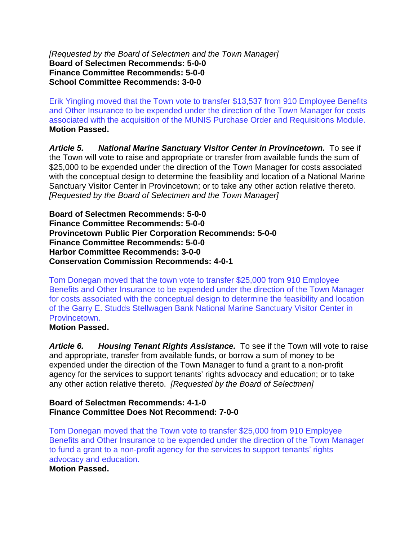*[Requested by the Board of Selectmen and the Town Manager]*  **Board of Selectmen Recommends: 5-0-0 Finance Committee Recommends: 5-0-0 School Committee Recommends: 3-0-0** 

Erik Yingling moved that the Town vote to transfer \$13,537 from 910 Employee Benefits and Other Insurance to be expended under the direction of the Town Manager for costs associated with the acquisition of the MUNIS Purchase Order and Requisitions Module. **Motion Passed.**

*Article 5. National Marine Sanctuary Visitor Center in Provincetown.* To see if the Town will vote to raise and appropriate or transfer from available funds the sum of \$25,000 to be expended under the direction of the Town Manager for costs associated with the conceptual design to determine the feasibility and location of a National Marine Sanctuary Visitor Center in Provincetown; or to take any other action relative thereto. *[Requested by the Board of Selectmen and the Town Manager]* 

**Board of Selectmen Recommends: 5-0-0 Finance Committee Recommends: 5-0-0 Provincetown Public Pier Corporation Recommends: 5-0-0 Finance Committee Recommends: 5-0-0 Harbor Committee Recommends: 3-0-0 Conservation Commission Recommends: 4-0-1** 

Tom Donegan moved that the town vote to transfer \$25,000 from 910 Employee Benefits and Other Insurance to be expended under the direction of the Town Manager for costs associated with the conceptual design to determine the feasibility and location of the Garry E. Studds Stellwagen Bank National Marine Sanctuary Visitor Center in Provincetown.

### **Motion Passed.**

*Article 6. Housing Tenant Rights Assistance.* To see if the Town will vote to raise and appropriate, transfer from available funds, or borrow a sum of money to be expended under the direction of the Town Manager to fund a grant to a non-profit agency for the services to support tenants' rights advocacy and education; or to take any other action relative thereto. *[Requested by the Board of Selectmen]* 

#### **Board of Selectmen Recommends: 4-1-0 Finance Committee Does Not Recommend: 7-0-0**

Tom Donegan moved that the Town vote to transfer \$25,000 from 910 Employee Benefits and Other Insurance to be expended under the direction of the Town Manager to fund a grant to a non-profit agency for the services to support tenants' rights advocacy and education. **Motion Passed.**